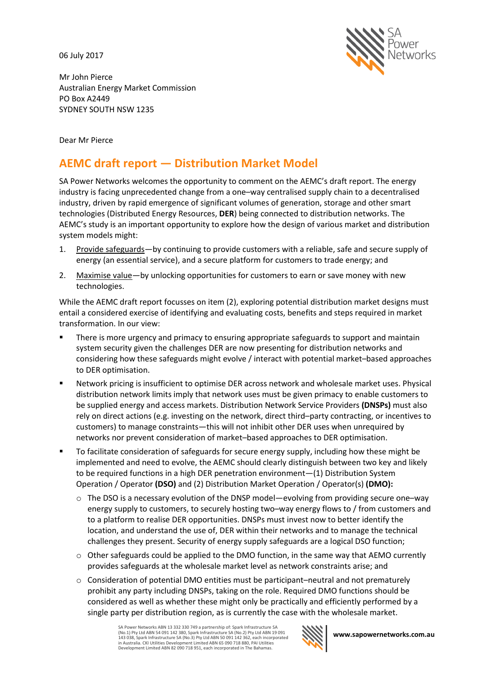06 July 2017



Mr John Pierce Australian Energy Market Commission PO Box A2449 SYDNEY SOUTH NSW 1235

Dear Mr Pierce

# **AEMC draft report — Distribution Market Model**

SA Power Networks welcomes the opportunity to comment on the AEMC's draft report. The energy industry is facing unprecedented change from a one–way centralised supply chain to a decentralised industry, driven by rapid emergence of significant volumes of generation, storage and other smart technologies (Distributed Energy Resources, **DER**) being connected to distribution networks. The AEMC's study is an important opportunity to explore how the design of various market and distribution system models might:

- 1. Provide safeguards—by continuing to provide customers with a reliable, safe and secure supply of energy (an essential service), and a secure platform for customers to trade energy; and
- 2. Maximise value—by unlocking opportunities for customers to earn or save money with new technologies.

While the AEMC draft report focusses on item (2), exploring potential distribution market designs must entail a considered exercise of identifying and evaluating costs, benefits and steps required in market transformation. In our view:

- **There is more urgency and primacy to ensuring appropriate safeguards to support and maintain** system security given the challenges DER are now presenting for distribution networks and considering how these safeguards might evolve / interact with potential market–based approaches to DER optimisation.
- Network pricing is insufficient to optimise DER across network and wholesale market uses. Physical distribution network limits imply that network uses must be given primacy to enable customers to be supplied energy and access markets. Distribution Network Service Providers **(DNSPs)** must also rely on direct actions (e.g. investing on the network, direct third–party contracting, or incentives to customers) to manage constraints—this will not inhibit other DER uses when unrequired by networks nor prevent consideration of market–based approaches to DER optimisation.
- To facilitate consideration of safeguards for secure energy supply, including how these might be implemented and need to evolve, the AEMC should clearly distinguish between two key and likely to be required functions in a high DER penetration environment—(1) Distribution System Operation / Operator **(DSO)** and (2) Distribution Market Operation / Operator(s) **(DMO):**
	- $\circ$  The DSO is a necessary evolution of the DNSP model—evolving from providing secure one–way energy supply to customers, to securely hosting two–way energy flows to / from customers and to a platform to realise DER opportunities. DNSPs must invest now to better identify the location, and understand the use of, DER within their networks and to manage the technical challenges they present. Security of energy supply safeguards are a logical DSO function;
	- $\circ$  Other safeguards could be applied to the DMO function, in the same way that AEMO currently provides safeguards at the wholesale market level as network constraints arise; and
	- $\circ$  Consideration of potential DMO entities must be participant–neutral and not prematurely prohibit any party including DNSPs, taking on the role. Required DMO functions should be considered as well as whether these might only be practically and efficiently performed by a single party per distribution region, as is currently the case with the wholesale market.

SA Power Networks ABN 13 332 330 749 a partnership of: Spark Infrastructure SA (No.1) Pty Ltd ABN 54 091 142 380, Spark Infrastructure SA (No.2) Pty Ltd ABN 19 091 143 038, Spark Infrastructure SA (No.3) Pty Ltd ABN 50 091 142 362, each incorporated in Australia. CKI Utilities Development Limited ABN 65 090 718 880, PAI Utilities Development Limited ABN 82 090 718 951, each incorporated in The Bahamas.

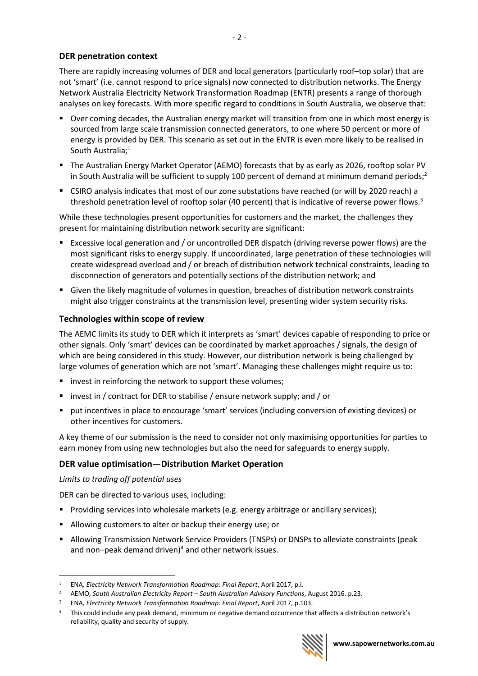# **DER penetration context**

There are rapidly increasing volumes of DER and local generators (particularly roof–top solar) that are not 'smart' (i.e. cannot respond to price signals) now connected to distribution networks. The Energy Network Australia Electricity Network Transformation Roadmap (ENTR) presents a range of thorough analyses on key forecasts. With more specific regard to conditions in South Australia, we observe that:

- Over coming decades, the Australian energy market will transition from one in which most energy is sourced from large scale transmission connected generators, to one where 50 percent or more of energy is provided by DER. This scenario as set out in the ENTR is even more likely to be realised in South Australia; 1
- The Australian Energy Market Operator (AEMO) forecasts that by as early as 2026, rooftop solar PV in South Australia will be sufficient to supply 100 percent of demand at minimum demand periods;<sup>2</sup>
- CSIRO analysis indicates that most of our zone substations have reached (or will by 2020 reach) a threshold penetration level of rooftop solar (40 percent) that is indicative of reverse power flows.<sup>3</sup>

While these technologies present opportunities for customers and the market, the challenges they present for maintaining distribution network security are significant:

- Excessive local generation and / or uncontrolled DER dispatch (driving reverse power flows) are the most significant risks to energy supply. If uncoordinated, large penetration of these technologies will create widespread overload and / or breach of distribution network technical constraints, leading to disconnection of generators and potentially sections of the distribution network; and
- Given the likely magnitude of volumes in question, breaches of distribution network constraints might also trigger constraints at the transmission level, presenting wider system security risks.

## **Technologies within scope of review**

The AEMC limits its study to DER which it interprets as 'smart' devices capable of responding to price or other signals. Only 'smart' devices can be coordinated by market approaches / signals, the design of which are being considered in this study. However, our distribution network is being challenged by large volumes of generation which are not 'smart'. Managing these challenges might require us to:

- **IDED** invest in reinforcing the network to support these volumes;
- **u** invest in / contract for DER to stabilise / ensure network supply; and / or
- put incentives in place to encourage 'smart' services (including conversion of existing devices) or other incentives for customers.

A key theme of our submission is the need to consider not only maximising opportunities for parties to earn money from using new technologies but also the need for safeguards to energy supply.

## **DER value optimisation—Distribution Market Operation**

#### *Limits to trading off potential uses*

DER can be directed to various uses, including:

- **Providing services into wholesale markets (e.g. energy arbitrage or ancillary services);**
- Allowing customers to alter or backup their energy use; or
- Allowing Transmission Network Service Providers (TNSPs) or DNSPs to alleviate constraints (peak and non-peak demand driven)<sup>4</sup> and other network issues.

 $\overline{a}$ <sup>1</sup> ENA*, Electricity Network Transformation Roadmap: Final Report*, April 2017, p.i.

<sup>2</sup> AEMO, *South Australian Electricity Report – South Australian Advisory Functions*, August 2016. p.23.

<sup>3</sup> ENA*, Electricity Network Transformation Roadmap: Final Report*, April 2017, p.103.

<sup>4</sup> This could include any peak demand, minimum or negative demand occurrence that affects a distribution network's reliability, quality and security of supply.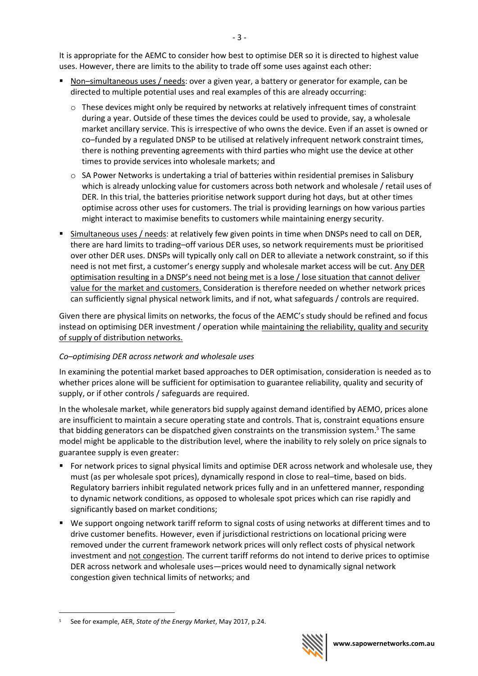It is appropriate for the AEMC to consider how best to optimise DER so it is directed to highest value uses. However, there are limits to the ability to trade off some uses against each other:

- Non–simultaneous uses / needs: over a given year, a battery or generator for example, can be directed to multiple potential uses and real examples of this are already occurring:
	- $\circ$  These devices might only be required by networks at relatively infrequent times of constraint during a year. Outside of these times the devices could be used to provide, say, a wholesale market ancillary service. This is irrespective of who owns the device. Even if an asset is owned or co–funded by a regulated DNSP to be utilised at relatively infrequent network constraint times, there is nothing preventing agreements with third parties who might use the device at other times to provide services into wholesale markets; and
	- $\circ$  SA Power Networks is undertaking a trial of batteries within residential premises in Salisbury which is already unlocking value for customers across both network and wholesale / retail uses of DER. In this trial, the batteries prioritise network support during hot days, but at other times optimise across other uses for customers. The trial is providing learnings on how various parties might interact to maximise benefits to customers while maintaining energy security.
- **Simultaneous uses / needs: at relatively few given points in time when DNSPs need to call on DER,** there are hard limits to trading–off various DER uses, so network requirements must be prioritised over other DER uses. DNSPs will typically only call on DER to alleviate a network constraint, so if this need is not met first, a customer's energy supply and wholesale market access will be cut. Any DER optimisation resulting in a DNSP's need not being met is a lose / lose situation that cannot deliver value for the market and customers. Consideration is therefore needed on whether network prices can sufficiently signal physical network limits, and if not, what safeguards / controls are required.

Given there are physical limits on networks, the focus of the AEMC's study should be refined and focus instead on optimising DER investment / operation while maintaining the reliability, quality and security of supply of distribution networks.

## *Co–optimising DER across network and wholesale uses*

In examining the potential market based approaches to DER optimisation, consideration is needed as to whether prices alone will be sufficient for optimisation to guarantee reliability, quality and security of supply, or if other controls / safeguards are required.

In the wholesale market, while generators bid supply against demand identified by AEMO, prices alone are insufficient to maintain a secure operating state and controls. That is, constraint equations ensure that bidding generators can be dispatched given constraints on the transmission system. <sup>5</sup> The same model might be applicable to the distribution level, where the inability to rely solely on price signals to guarantee supply is even greater:

- For network prices to signal physical limits and optimise DER across network and wholesale use, they must (as per wholesale spot prices), dynamically respond in close to real–time, based on bids. Regulatory barriers inhibit regulated network prices fully and in an unfettered manner, responding to dynamic network conditions, as opposed to wholesale spot prices which can rise rapidly and significantly based on market conditions;
- We support ongoing network tariff reform to signal costs of using networks at different times and to drive customer benefits. However, even if jurisdictional restrictions on locational pricing were removed under the current framework network prices will only reflect costs of physical network investment and not congestion. The current tariff reforms do not intend to derive prices to optimise DER across network and wholesale uses—prices would need to dynamically signal network congestion given technical limits of networks; and

 $\overline{a}$ 



<sup>5</sup> See for example, AER, *State of the Energy Market*, May 2017, p.24.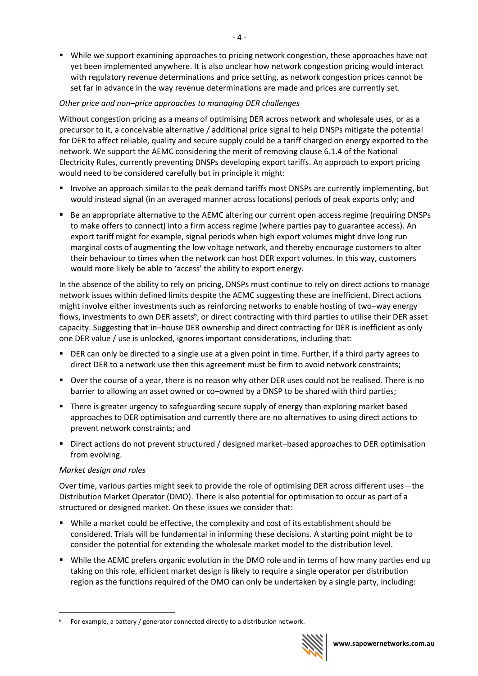While we support examining approaches to pricing network congestion, these approaches have not yet been implemented anywhere. It is also unclear how network congestion pricing would interact with regulatory revenue determinations and price setting, as network congestion prices cannot be set far in advance in the way revenue determinations are made and prices are currently set.

# *Other price and non–price approaches to managing DER challenges*

Without congestion pricing as a means of optimising DER across network and wholesale uses, or as a precursor to it, a conceivable alternative / additional price signal to help DNSPs mitigate the potential for DER to affect reliable, quality and secure supply could be a tariff charged on energy exported to the network. We support the AEMC considering the merit of removing clause 6.1.4 of the National Electricity Rules, currently preventing DNSPs developing export tariffs. An approach to export pricing would need to be considered carefully but in principle it might:

- Involve an approach similar to the peak demand tariffs most DNSPs are currently implementing, but would instead signal (in an averaged manner across locations) periods of peak exports only; and
- Be an appropriate alternative to the AEMC altering our current open access regime (requiring DNSPs to make offers to connect) into a firm access regime (where parties pay to guarantee access). An export tariff might for example, signal periods when high export volumes might drive long run marginal costs of augmenting the low voltage network, and thereby encourage customers to alter their behaviour to times when the network can host DER export volumes. In this way, customers would more likely be able to 'access' the ability to export energy.

In the absence of the ability to rely on pricing, DNSPs must continue to rely on direct actions to manage network issues within defined limits despite the AEMC suggesting these are inefficient. Direct actions might involve either investments such as reinforcing networks to enable hosting of two–way energy flows, investments to own DER assets<sup>6</sup>, or direct contracting with third parties to utilise their DER asset capacity. Suggesting that in–house DER ownership and direct contracting for DER is inefficient as only one DER value / use is unlocked, ignores important considerations, including that:

- **DER can only be directed to a single use at a given point in time. Further, if a third party agrees to** direct DER to a network use then this agreement must be firm to avoid network constraints;
- Over the course of a year, there is no reason why other DER uses could not be realised. There is no barrier to allowing an asset owned or co–owned by a DNSP to be shared with third parties;
- **There is greater urgency to safeguarding secure supply of energy than exploring market based** approaches to DER optimisation and currently there are no alternatives to using direct actions to prevent network constraints; and
- Direct actions do not prevent structured / designed market–based approaches to DER optimisation from evolving.

## *Market design and roles*

 $\overline{a}$ 

Over time, various parties might seek to provide the role of optimising DER across different uses—the Distribution Market Operator (DMO). There is also potential for optimisation to occur as part of a structured or designed market. On these issues we consider that:

- While a market could be effective, the complexity and cost of its establishment should be considered. Trials will be fundamental in informing these decisions. A starting point might be to consider the potential for extending the wholesale market model to the distribution level.
- While the AEMC prefers organic evolution in the DMO role and in terms of how many parties end up taking on this role, efficient market design is likely to require a single operator per distribution region as the functions required of the DMO can only be undertaken by a single party, including:

For example, a battery / generator connected directly to a distribution network.

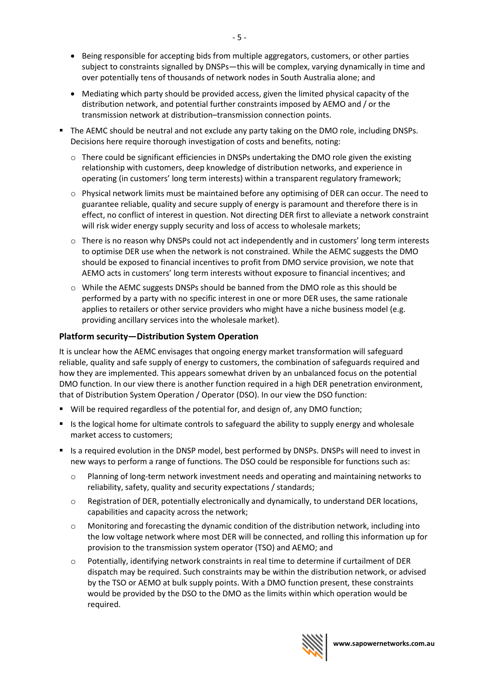- Being responsible for accepting bids from multiple aggregators, customers, or other parties subject to constraints signalled by DNSPs—this will be complex, varying dynamically in time and over potentially tens of thousands of network nodes in South Australia alone; and
- Mediating which party should be provided access, given the limited physical capacity of the distribution network, and potential further constraints imposed by AEMO and / or the transmission network at distribution–transmission connection points.
- The AEMC should be neutral and not exclude any party taking on the DMO role, including DNSPs. Decisions here require thorough investigation of costs and benefits, noting:
	- $\circ$  There could be significant efficiencies in DNSPs undertaking the DMO role given the existing relationship with customers, deep knowledge of distribution networks, and experience in operating (in customers' long term interests) within a transparent regulatory framework;
	- $\circ$  Physical network limits must be maintained before any optimising of DER can occur. The need to guarantee reliable, quality and secure supply of energy is paramount and therefore there is in effect, no conflict of interest in question. Not directing DER first to alleviate a network constraint will risk wider energy supply security and loss of access to wholesale markets;
	- o There is no reason why DNSPs could not act independently and in customers' long term interests to optimise DER use when the network is not constrained. While the AEMC suggests the DMO should be exposed to financial incentives to profit from DMO service provision, we note that AEMO acts in customers' long term interests without exposure to financial incentives; and
	- $\circ$  While the AEMC suggests DNSPs should be banned from the DMO role as this should be performed by a party with no specific interest in one or more DER uses, the same rationale applies to retailers or other service providers who might have a niche business model (e.g. providing ancillary services into the wholesale market).

# **Platform security—Distribution System Operation**

It is unclear how the AEMC envisages that ongoing energy market transformation will safeguard reliable, quality and safe supply of energy to customers, the combination of safeguards required and how they are implemented. This appears somewhat driven by an unbalanced focus on the potential DMO function. In our view there is another function required in a high DER penetration environment, that of Distribution System Operation / Operator (DSO). In our view the DSO function:

- Will be required regardless of the potential for, and design of, any DMO function;
- Is the logical home for ultimate controls to safeguard the ability to supply energy and wholesale market access to customers;
- Is a required evolution in the DNSP model, best performed by DNSPs. DNSPs will need to invest in new ways to perform a range of functions. The DSO could be responsible for functions such as:
	- o Planning of long-term network investment needs and operating and maintaining networks to reliability, safety, quality and security expectations / standards;
	- o Registration of DER, potentially electronically and dynamically, to understand DER locations, capabilities and capacity across the network;
	- o Monitoring and forecasting the dynamic condition of the distribution network, including into the low voltage network where most DER will be connected, and rolling this information up for provision to the transmission system operator (TSO) and AEMO; and
	- o Potentially, identifying network constraints in real time to determine if curtailment of DER dispatch may be required. Such constraints may be within the distribution network, or advised by the TSO or AEMO at bulk supply points. With a DMO function present, these constraints would be provided by the DSO to the DMO as the limits within which operation would be required.